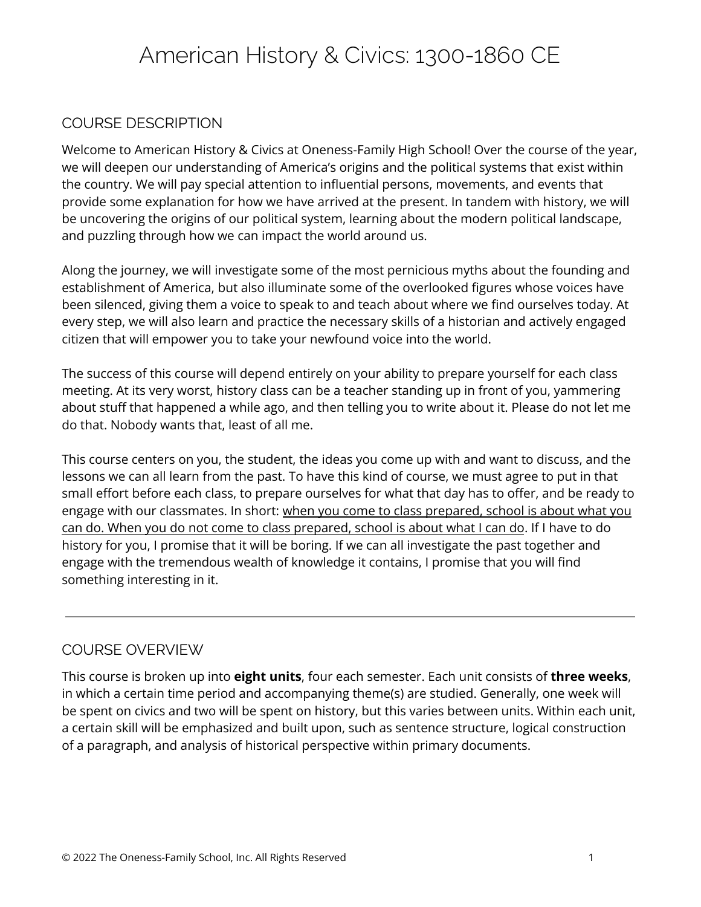# American History & Civics: 1300-1860 CE

#### COURSE DESCRIPTION

Welcome to American History & Civics at Oneness-Family High School! Over the course of the year, we will deepen our understanding of America's origins and the political systems that exist within the country. We will pay special attention to influential persons, movements, and events that provide some explanation for how we have arrived at the present. In tandem with history, we will be uncovering the origins of our political system, learning about the modern political landscape, and puzzling through how we can impact the world around us.

Along the journey, we will investigate some of the most pernicious myths about the founding and establishment of America, but also illuminate some of the overlooked figures whose voices have been silenced, giving them a voice to speak to and teach about where we find ourselves today. At every step, we will also learn and practice the necessary skills of a historian and actively engaged citizen that will empower you to take your newfound voice into the world.

The success of this course will depend entirely on your ability to prepare yourself for each class meeting. At its very worst, history class can be a teacher standing up in front of you, yammering about stuff that happened a while ago, and then telling you to write about it. Please do not let me do that. Nobody wants that, least of all me.

This course centers on you, the student, the ideas you come up with and want to discuss, and the lessons we can all learn from the past. To have this kind of course, we must agree to put in that small effort before each class, to prepare ourselves for what that day has to offer, and be ready to engage with our classmates. In short: when you come to class prepared, school is about what you can do. When you do not come to class prepared, school is about what I can do. If I have to do history for you, I promise that it will be boring. If we can all investigate the past together and engage with the tremendous wealth of knowledge it contains, I promise that you will find something interesting in it.

#### COURSE OVERVIEW

This course is broken up into **eight units**, four each semester. Each unit consists of **three weeks**, in which a certain time period and accompanying theme(s) are studied. Generally, one week will be spent on civics and two will be spent on history, but this varies between units. Within each unit, a certain skill will be emphasized and built upon, such as sentence structure, logical construction of a paragraph, and analysis of historical perspective within primary documents.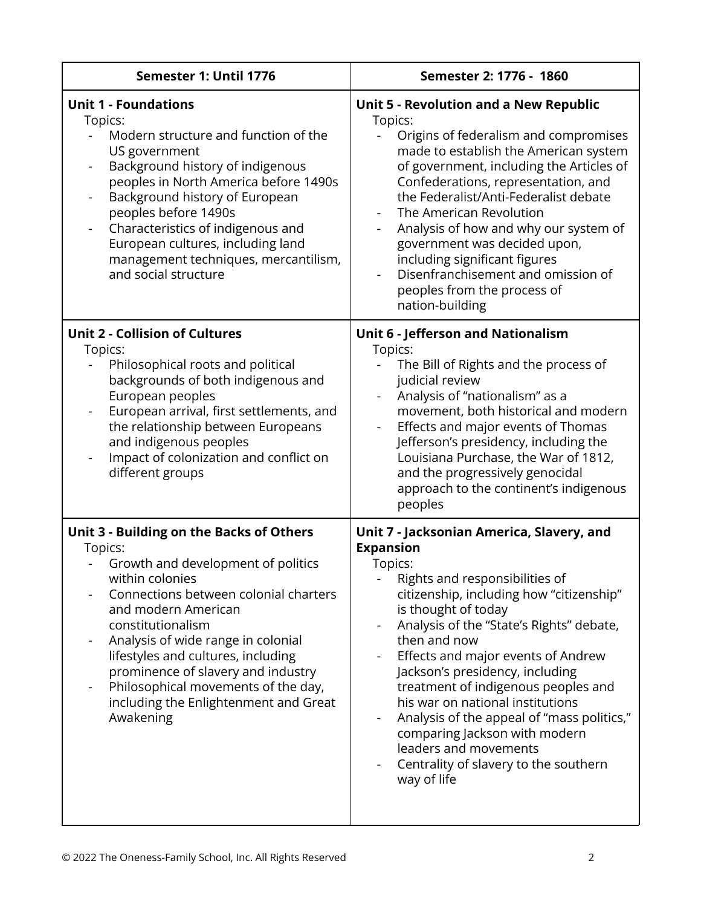| Semester 1: Until 1776                                                                                                                                                                                                                                                                                                                                                                                              | Semester 2: 1776 - 1860                                                                                                                                                                                                                                                                                                                                                                                                                                                                                                                                       |  |  |
|---------------------------------------------------------------------------------------------------------------------------------------------------------------------------------------------------------------------------------------------------------------------------------------------------------------------------------------------------------------------------------------------------------------------|---------------------------------------------------------------------------------------------------------------------------------------------------------------------------------------------------------------------------------------------------------------------------------------------------------------------------------------------------------------------------------------------------------------------------------------------------------------------------------------------------------------------------------------------------------------|--|--|
| <b>Unit 1 - Foundations</b><br>Topics:<br>Modern structure and function of the<br>US government<br>Background history of indigenous<br>$\frac{1}{2}$<br>peoples in North America before 1490s<br>Background history of European<br>peoples before 1490s<br>Characteristics of indigenous and<br>$\blacksquare$<br>European cultures, including land<br>management techniques, mercantilism,<br>and social structure | <b>Unit 5 - Revolution and a New Republic</b><br>Topics:<br>Origins of federalism and compromises<br>made to establish the American system<br>of government, including the Articles of<br>Confederations, representation, and<br>the Federalist/Anti-Federalist debate<br>The American Revolution<br>Analysis of how and why our system of<br>government was decided upon,<br>including significant figures<br>Disenfranchisement and omission of<br>peoples from the process of<br>nation-building                                                           |  |  |
| <b>Unit 2 - Collision of Cultures</b><br>Topics:<br>Philosophical roots and political<br>backgrounds of both indigenous and<br>European peoples<br>European arrival, first settlements, and<br>the relationship between Europeans<br>and indigenous peoples<br>Impact of colonization and conflict on<br>different groups                                                                                           | <b>Unit 6 - Jefferson and Nationalism</b><br>Topics:<br>The Bill of Rights and the process of<br>judicial review<br>Analysis of "nationalism" as a<br>movement, both historical and modern<br>Effects and major events of Thomas<br>Jefferson's presidency, including the<br>Louisiana Purchase, the War of 1812,<br>and the progressively genocidal<br>approach to the continent's indigenous<br>peoples                                                                                                                                                     |  |  |
| Unit 3 - Building on the Backs of Others<br>Topics:<br>Growth and development of politics<br>within colonies<br>Connections between colonial charters<br>and modern American<br>constitutionalism<br>Analysis of wide range in colonial<br>lifestyles and cultures, including<br>prominence of slavery and industry<br>Philosophical movements of the day,<br>including the Enlightenment and Great<br>Awakening    | Unit 7 - Jacksonian America, Slavery, and<br><b>Expansion</b><br>Topics:<br>Rights and responsibilities of<br>citizenship, including how "citizenship"<br>is thought of today<br>Analysis of the "State's Rights" debate,<br>then and now<br>Effects and major events of Andrew<br>Jackson's presidency, including<br>treatment of indigenous peoples and<br>his war on national institutions<br>Analysis of the appeal of "mass politics,"<br>comparing Jackson with modern<br>leaders and movements<br>Centrality of slavery to the southern<br>way of life |  |  |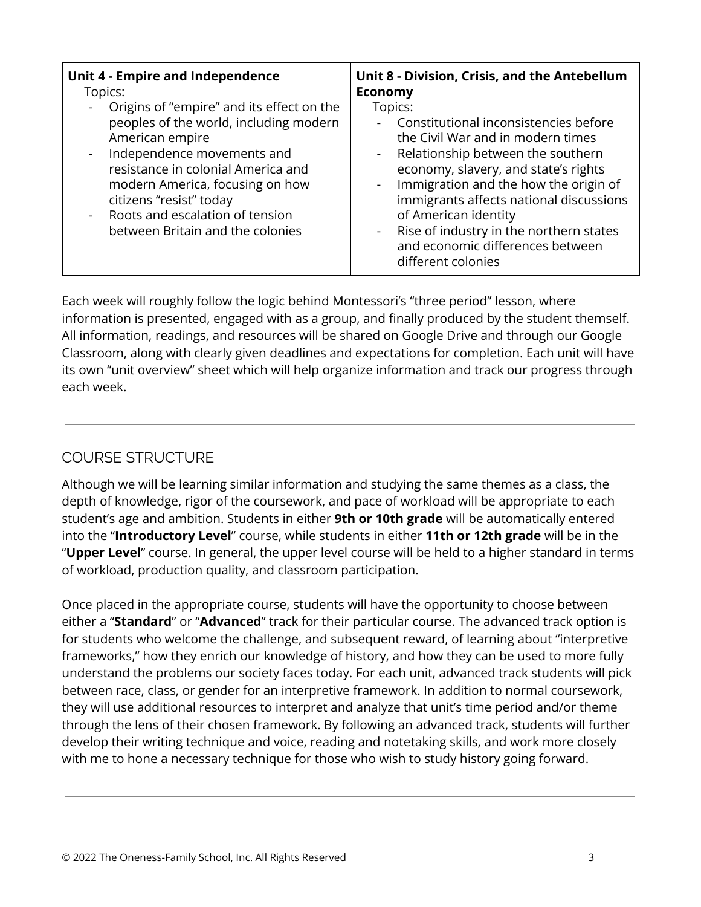| <b>Unit 4 - Empire and Independence</b>                                                                                                                                                                                                                                                                                                                                             | Unit 8 - Division, Crisis, and the Antebellum                                                                                                                                                                                                                                                                                                                                                                     |
|-------------------------------------------------------------------------------------------------------------------------------------------------------------------------------------------------------------------------------------------------------------------------------------------------------------------------------------------------------------------------------------|-------------------------------------------------------------------------------------------------------------------------------------------------------------------------------------------------------------------------------------------------------------------------------------------------------------------------------------------------------------------------------------------------------------------|
| Topics:                                                                                                                                                                                                                                                                                                                                                                             | <b>Economy</b>                                                                                                                                                                                                                                                                                                                                                                                                    |
| Origins of "empire" and its effect on the<br>$\qquad \qquad \blacksquare$<br>peoples of the world, including modern<br>American empire<br>Independence movements and<br>$\blacksquare$<br>resistance in colonial America and<br>modern America, focusing on how<br>citizens "resist" today<br>Roots and escalation of tension<br>$\blacksquare$<br>between Britain and the colonies | Topics:<br>Constitutional inconsistencies before<br>the Civil War and in modern times<br>Relationship between the southern<br>$\sim$<br>economy, slavery, and state's rights<br>- Immigration and the how the origin of<br>immigrants affects national discussions<br>of American identity<br>Rise of industry in the northern states<br>$\blacksquare$<br>and economic differences between<br>different colonies |

Each week will roughly follow the logic behind Montessori's "three period" lesson, where information is presented, engaged with as a group, and finally produced by the student themself. All information, readings, and resources will be shared on Google Drive and through our Google Classroom, along with clearly given deadlines and expectations for completion. Each unit will have its own "unit overview" sheet which will help organize information and track our progress through each week.

# COURSE STRUCTURE

Although we will be learning similar information and studying the same themes as a class, the depth of knowledge, rigor of the coursework, and pace of workload will be appropriate to each student's age and ambition. Students in either **9th or 10th grade** will be automatically entered into the "**Introductory Level**" course, while students in either **11th or 12th grade** will be in the "**Upper Level**" course. In general, the upper level course will be held to a higher standard in terms of workload, production quality, and classroom participation.

Once placed in the appropriate course, students will have the opportunity to choose between either a "**Standard**" or "**Advanced**" track for their particular course. The advanced track option is for students who welcome the challenge, and subsequent reward, of learning about "interpretive frameworks," how they enrich our knowledge of history, and how they can be used to more fully understand the problems our society faces today. For each unit, advanced track students will pick between race, class, or gender for an interpretive framework. In addition to normal coursework, they will use additional resources to interpret and analyze that unit's time period and/or theme through the lens of their chosen framework. By following an advanced track, students will further develop their writing technique and voice, reading and notetaking skills, and work more closely with me to hone a necessary technique for those who wish to study history going forward.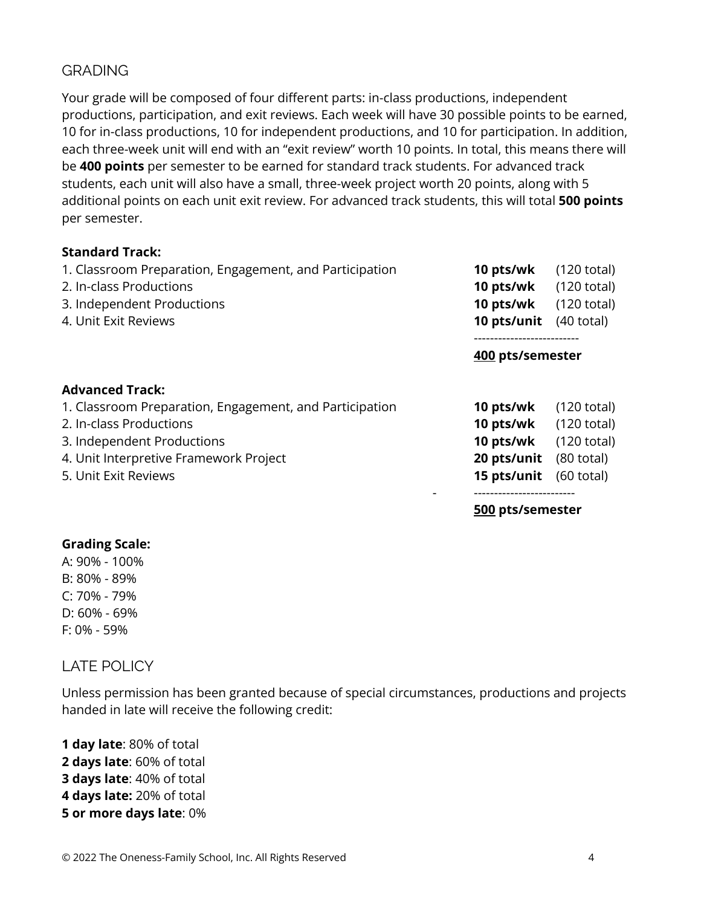#### **GRADING**

Your grade will be composed of four different parts: in-class productions, independent productions, participation, and exit reviews. Each week will have 30 possible points to be earned, 10 for in-class productions, 10 for independent productions, and 10 for participation. In addition, each three-week unit will end with an "exit review" worth 10 points. In total, this means there will be **400 points** per semester to be earned for standard track students. For advanced track students, each unit will also have a small, three-week project worth 20 points, along with 5 additional points on each unit exit review. For advanced track students, this will total **500 points** per semester.

#### **Standard Track:**

| 1. Classroom Preparation, Engagement, and Participation | 10 pts/wk        | $(120 \text{ total})$ |
|---------------------------------------------------------|------------------|-----------------------|
| 2. In-class Productions                                 | 10 pts/wk        | $(120 \text{ total})$ |
| 3. Independent Productions                              | 10 pts/wk        | $(120 \text{ total})$ |
| 4. Unit Exit Reviews                                    | 10 pts/unit      | $(40 \text{ total})$  |
|                                                         | 400 pts/semester |                       |
| <b>Advanced Track:</b>                                  |                  |                       |
| 1. Classroom Preparation, Engagement, and Participation | 10 pts/wk        | $(120 \text{ total})$ |
| 2. In-class Productions                                 | 10 pts/wk        | $(120 \text{ total})$ |
| 3. Independent Productions                              | 10 pts/wk        | $(120 \text{ total})$ |
| 4. Unit Interpretive Framework Project                  | 20 pts/unit      | $(80 \text{ total})$  |
| 5. Unit Exit Reviews                                    | 15 pts/unit      | $(60 \text{ total})$  |
|                                                         | 500 pts/semester |                       |

# **Grading Scale:**

A: 90% - 100% B: 80% - 89% C: 70% - 79% D: 60% - 69% F: 0% - 59%

LATE POLICY

Unless permission has been granted because of special circumstances, productions and projects handed in late will receive the following credit:

 **day late**: 80% of total **days late**: 60% of total **days late**: 40% of total **days late:** 20% of total **or more days late**: 0%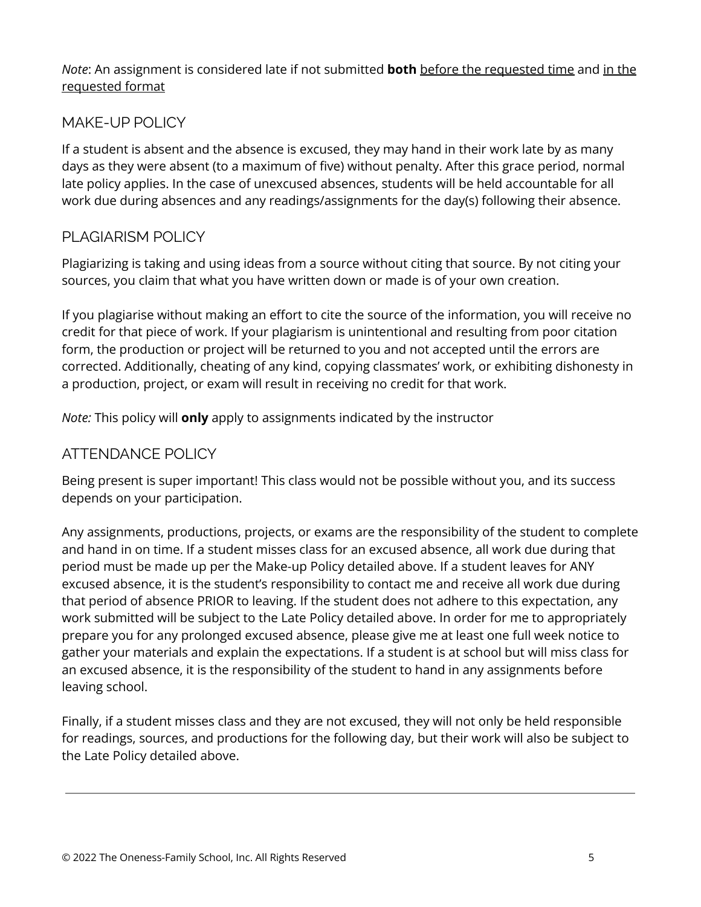#### *Note*: An assignment is considered late if not submitted **both** before the requested time and in the requested format

## MAKE-UP POLICY

If a student is absent and the absence is excused, they may hand in their work late by as many days as they were absent (to a maximum of five) without penalty. After this grace period, normal late policy applies. In the case of unexcused absences, students will be held accountable for all work due during absences and any readings/assignments for the day(s) following their absence.

### PLAGIARISM POLICY

Plagiarizing is taking and using ideas from a source without citing that source. By not citing your sources, you claim that what you have written down or made is of your own creation.

If you plagiarise without making an effort to cite the source of the information, you will receive no credit for that piece of work. If your plagiarism is unintentional and resulting from poor citation form, the production or project will be returned to you and not accepted until the errors are corrected. Additionally, cheating of any kind, copying classmates' work, or exhibiting dishonesty in a production, project, or exam will result in receiving no credit for that work.

*Note:* This policy will **only** apply to assignments indicated by the instructor

### ATTENDANCE POLICY

Being present is super important! This class would not be possible without you, and its success depends on your participation.

Any assignments, productions, projects, or exams are the responsibility of the student to complete and hand in on time. If a student misses class for an excused absence, all work due during that period must be made up per the Make-up Policy detailed above. If a student leaves for ANY excused absence, it is the student's responsibility to contact me and receive all work due during that period of absence PRIOR to leaving. If the student does not adhere to this expectation, any work submitted will be subject to the Late Policy detailed above. In order for me to appropriately prepare you for any prolonged excused absence, please give me at least one full week notice to gather your materials and explain the expectations. If a student is at school but will miss class for an excused absence, it is the responsibility of the student to hand in any assignments before leaving school.

Finally, if a student misses class and they are not excused, they will not only be held responsible for readings, sources, and productions for the following day, but their work will also be subject to the Late Policy detailed above.